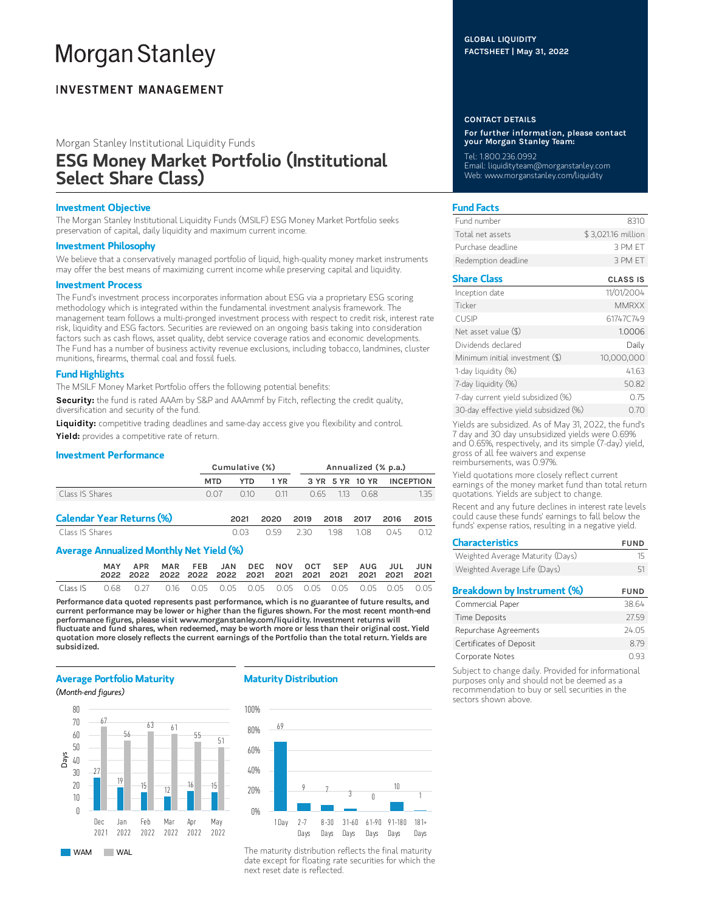# **Morgan Stanley**

## **INVESTMENT MANAGEMENT**

Morgan Stanley Institutional Liquidity Funds

## ESG Money Market Portfolio (Institutional Select Share Class)

## Investment Objective

The Morgan Stanley Institutional Liquidity Funds (MSILF) ESG Money Market Portfolio seeks preservation of capital, daily liquidity and maximum current income.

## Investment Philosophy

We believe that a conservatively managed portfolio of liquid, high-quality money market instruments may offer the best means of maximizing current income while preserving capital and liquidity.

## Investment Process

The Fund's investment process incorporates information about ESG via a proprietary ESG scoring methodology which is integrated within the fundamental investment analysis framework. The management team follows a multi-pronged investment process with respect to credit risk, interest rate risk, liquidity and ESG factors. Securities are reviewed on an ongoing basis taking into consideration factors such as cash flows, asset quality, debt service coverage ratios and economic developments. The Fund has a number of business activity revenue exclusions, including tobacco, landmines, cluster munitions, firearms, thermal coal and fossil fuels.

## Fund Highlights

The MSILF Money Market Portfolio offers the following potential benefits:

Security: the fund is rated AAAm by S&P and AAAmmf by Fitch, reflecting the credit quality, diversification and security of the fund.

Liquidity: competitive trading deadlines and same-day access give you flexibility and control. Yield: provides a competitive rate of return.

## Investment Performance

|                                          |            | Cumulative (%) |      |      | Annualized (% p.a.) |                 |      |                  |  |
|------------------------------------------|------------|----------------|------|------|---------------------|-----------------|------|------------------|--|
|                                          | <b>MTD</b> | <b>YTD</b>     | 1 YR |      |                     | 3 YR 5 YR 10 YR |      | <b>INCEPTION</b> |  |
| Class IS Shares                          | 0.07       | 010            | 0.11 | O 65 | 1.13                | 0.68            |      | 1.35             |  |
| <b>Calendar Year Returns (%)</b>         |            | 2021           | 2020 | 2019 | 2018                | 2017            | 2016 | 2015             |  |
| Class IS Shares                          |            | 0.03           | O 59 | 230  | 198                 | 108             | 045  | 0.12             |  |
| Average Annualized Monthly Net Yield (%) |            |                |      |      |                     |                 |      |                  |  |
|                                          |            |                |      |      |                     |                 |      |                  |  |

|  | MAY APR MAR FEB JAN DEC NOV OCT SEP AUG JUL JUN |  |  |  |  |  |
|--|-------------------------------------------------|--|--|--|--|--|
|  |                                                 |  |  |  |  |  |

Performance data quoted represents past performance, which is no guarantee of future results, and current performance may be lower or higher than the figures shown. For the most recent month-end performance figures, please visit www.morganstanley.com/liquidity. Investment returns will fluctuate and fund shares, when redeemed, may be worth more or less than their original cost. Yield quotation more closely reflects the current earnings of the Portfolio than the total return. Yields are subsidized.

## Average Portfolio Maturity

## (Month-end figures)



WAM WAL

## Maturity Distribution



The maturity distribution reflects the final maturity date except for floating rate securities for which the next reset date is reflected.

## GLOBAL LIQUIDITY FACTSHEET | May 31, 2022

### CONTACT DETAILS

For further information, please contact your Morgan Stanley Team:

Tel: 1.800.236.0992 Email: liquidityteam@morganstanley.com Web: www.morganstanley.com/liquidity

## Fund Facts

| Fund number         | -8310              |
|---------------------|--------------------|
| Total net assets    | \$3,021.16 million |
| Purchase deadline   | 3 PM FT            |
| Redemption deadline | 3 PM FT            |

## Share Class CLASS IS

| Inception date                        | 11/01/2004   |
|---------------------------------------|--------------|
| Ticker                                | <b>MMRXX</b> |
| <b>CUSIP</b>                          | 61747C749    |
| Net asset value $(\$)$                | 1.0006       |
| Dividends declared                    | Daily        |
| Minimum initial investment (\$)       | 10,000,000   |
| 1-day liquidity (%)                   | 41.63        |
| 7-day liquidity (%)                   | 50.82        |
| 7-day current yield subsidized (%)    | 0.75         |
| 30-day effective yield subsidized (%) | 0.70         |

Yields are subsidized. As of May 31, 2022, the fund's 7 day and 30 day unsubsidized yields were 0.69% and 0.65%, respectively, and its simple (7-day) yield, gross of all fee waivers and expense reimbursements, was 0.97%.

Yield quotations more closely reflect current earnings of the money market fund than total return quotations. Yields are subject to change.

Recent and any future declines in interest rate levels could cause these funds' earnings to fall below the funds' expense ratios, resulting in a negative yield.

| <b>Characteristics</b>             | FUND        |
|------------------------------------|-------------|
| Weighted Average Maturity (Days)   | 15          |
| Weighted Average Life (Days)       | 51          |
| <b>Breakdown by Instrument (%)</b> | <b>FUND</b> |
| Commercial Paper                   | 38.64       |
| <b>Time Deposits</b>               | 2759        |
|                                    |             |
| Repurchase Agreements              | 24.05       |

Certificates of Deposit 8.79 Corporate Notes 0.93 Subject to change daily. Provided for informational

purposes only and should not be deemed as a recommendation to buy or sell securities in the sectors shown above.